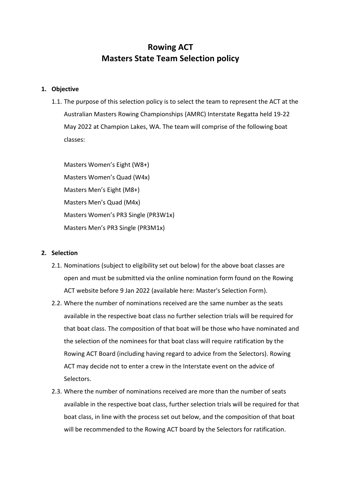# **Rowing ACT Masters State Team Selection policy**

## **1. Objective**

1.1. The purpose of this selection policy is to select the team to represent the ACT at the Australian Masters Rowing Championships (AMRC) Interstate Regatta held 19-22 May 2022 at Champion Lakes, WA. The team will comprise of the following boat classes:

Masters Women's Eight (W8+) Masters Women's Quad (W4x) Masters Men's Eight (M8+) Masters Men's Quad (M4x) Masters Women's PR3 Single (PR3W1x) Masters Men's PR3 Single (PR3M1x)

## **2. Selection**

- 2.1. Nominations (subject to eligibility set out below) for the above boat classes are open and must be submitted via the online nomination form found on the Rowing ACT website before 9 Jan 2022 (available here: [Master's Selection Form\)](https://d.docs.live.net/6bb16b791cf3edef/Documents/Neil/ACTRA/Master).
- 2.2. Where the number of nominations received are the same number as the seats available in the respective boat class no further selection trials will be required for that boat class. The composition of that boat will be those who have nominated and the selection of the nominees for that boat class will require ratification by the Rowing ACT Board (including having regard to advice from the Selectors). Rowing ACT may decide not to enter a crew in the Interstate event on the advice of Selectors.
- 2.3. Where the number of nominations received are more than the number of seats available in the respective boat class, further selection trials will be required for that boat class, in line with the process set out below, and the composition of that boat will be recommended to the Rowing ACT board by the Selectors for ratification.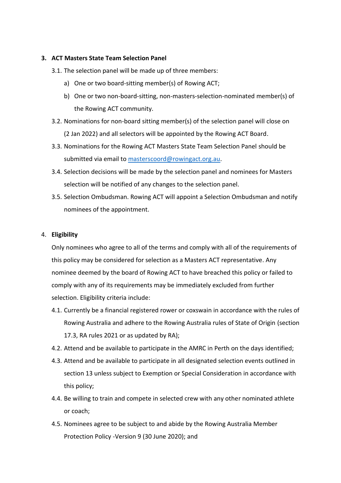# **3. ACT Masters State Team Selection Panel**

- 3.1. The selection panel will be made up of three members:
	- a) One or two board-sitting member(s) of Rowing ACT;
	- b) One or two non-board-sitting, non-masters-selection-nominated member(s) of the Rowing ACT community.
- 3.2. Nominations for non-board sitting member(s) of the selection panel will close on (2 Jan 2022) and all selectors will be appointed by the Rowing ACT Board.
- 3.3. Nominations for the Rowing ACT Masters State Team Selection Panel should be submitted via email to [masterscoord@rowingact.org.au.](mailto:masterscoord@rowingact.org.au)
- 3.4. Selection decisions will be made by the selection panel and nominees for Masters selection will be notified of any changes to the selection panel.
- 3.5. Selection Ombudsman. Rowing ACT will appoint a Selection Ombudsman and notify nominees of the appointment.

# 4. **Eligibility**

Only nominees who agree to all of the terms and comply with all of the requirements of this policy may be considered for selection as a Masters ACT representative. Any nominee deemed by the board of Rowing ACT to have breached this policy or failed to comply with any of its requirements may be immediately excluded from further selection. Eligibility criteria include:

- 4.1. Currently be a financial registered rower or coxswain in accordance with the rules of Rowing Australia and adhere to the Rowing Australia rules of State of Origin (section 17.3, RA rules 2021 or as updated by RA);
- 4.2. Attend and be available to participate in the AMRC in Perth on the days identified;
- 4.3. Attend and be available to participate in all designated selection events outlined in section 13 unless subject to Exemption or Special Consideration in accordance with this policy;
- 4.4. Be willing to train and compete in selected crew with any other nominated athlete or coach;
- 4.5. Nominees agree to be subject to and abide by the Rowing Australia Member Protection Policy -Version 9 (30 June 2020); and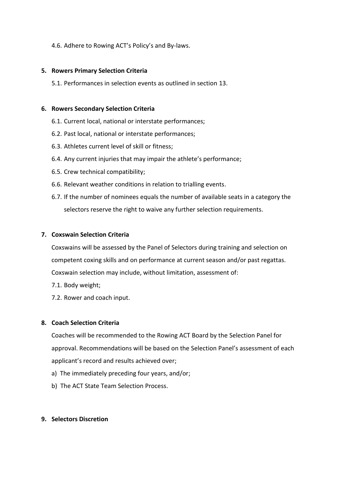# 4.6. Adhere to Rowing ACT's Policy's and By-laws.

## **5. Rowers Primary Selection Criteria**

5.1. Performances in selection events as outlined in section 13.

## **6. Rowers Secondary Selection Criteria**

- 6.1. Current local, national or interstate performances;
- 6.2. Past local, national or interstate performances;
- 6.3. Athletes current level of skill or fitness;
- 6.4. Any current injuries that may impair the athlete's performance;
- 6.5. Crew technical compatibility;
- 6.6. Relevant weather conditions in relation to trialling events.
- 6.7. If the number of nominees equals the number of available seats in a category the selectors reserve the right to waive any further selection requirements.

# **7. Coxswain Selection Criteria**

Coxswains will be assessed by the Panel of Selectors during training and selection on competent coxing skills and on performance at current season and/or past regattas. Coxswain selection may include, without limitation, assessment of:

- 7.1. Body weight;
- 7.2. Rower and coach input.

## **8. Coach Selection Criteria**

Coaches will be recommended to the Rowing ACT Board by the Selection Panel for approval. Recommendations will be based on the Selection Panel's assessment of each applicant's record and results achieved over;

- a) The immediately preceding four years, and/or;
- b) The ACT State Team Selection Process.

## **9. Selectors Discretion**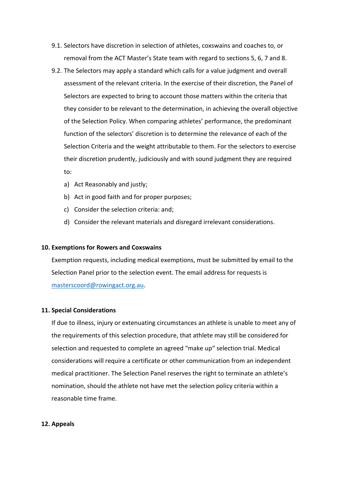- 9.1. Selectors have discretion in selection of athletes, coxswains and coaches to, or removal from the ACT Master's State team with regard to sections 5, 6, 7 and 8.
- 9.2. The Selectors may apply a standard which calls for a value judgment and overall assessment of the relevant criteria. In the exercise of their discretion, the Panel of Selectors are expected to bring to account those matters within the criteria that they consider to be relevant to the determination, in achieving the overall objective of the Selection Policy. When comparing athletes' performance, the predominant function of the selectors' discretion is to determine the relevance of each of the Selection Criteria and the weight attributable to them. For the selectors to exercise their discretion prudently, judiciously and with sound judgment they are required to:
	- a) Act Reasonably and justly;
	- b) Act in good faith and for proper purposes;
	- c) Consider the selection criteria: and;
	- d) Consider the relevant materials and disregard irrelevant considerations.

## **10. Exemptions for Rowers and Coxswains**

Exemption requests, including medical exemptions, must be submitted by email to the Selection Panel prior to the selection event. The email address for requests is [masterscoord@rowingact.org.au.](mailto:masterscoord@rowingact.org.au)

#### **11. Special Considerations**

If due to illness, injury or extenuating circumstances an athlete is unable to meet any of the requirements of this selection procedure, that athlete may still be considered for selection and requested to complete an agreed "make up" selection trial. Medical considerations will require a certificate or other communication from an independent medical practitioner. The Selection Panel reserves the right to terminate an athlete's nomination, should the athlete not have met the selection policy criteria within a reasonable time frame.

## **12. Appeals**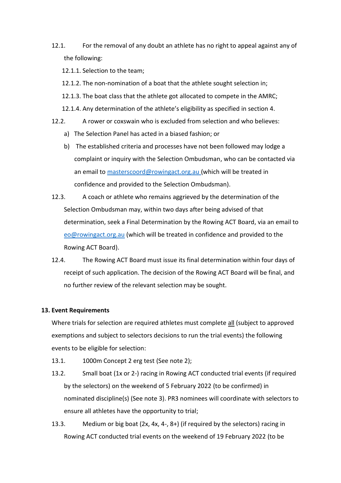12.1. For the removal of any doubt an athlete has no right to appeal against any of the following:

12.1.1. Selection to the team;

- 12.1.2. The non-nomination of a boat that the athlete sought selection in;
- 12.1.3. The boat class that the athlete got allocated to compete in the AMRC;
- 12.1.4. Any determination of the athlete's eligibility as specified in section 4.
- 12.2. A rower or coxswain who is excluded from selection and who believes:
	- a) The Selection Panel has acted in a biased fashion; or
	- b) The established criteria and processes have not been followed may lodge a complaint or inquiry with the Selection Ombudsman, who can be contacted via an email to [masterscoord@rowingact.org.au](mailto:masterscoord@rowingact.org.au) (which will be treated in confidence and provided to the Selection Ombudsman).
- 12.3. A coach or athlete who remains aggrieved by the determination of the Selection Ombudsman may, within two days after being advised of that determination, seek a Final Determination by the Rowing ACT Board, via an email to [eo@rowingact.org.au](mailto:eo@rowingact.org.au) (which will be treated in confidence and provided to the Rowing ACT Board).
- 12.4. The Rowing ACT Board must issue its final determination within four days of receipt of such application. The decision of the Rowing ACT Board will be final, and no further review of the relevant selection may be sought.

## **13. Event Requirements**

Where trials for selection are required athletes must complete all (subject to approved exemptions and subject to selectors decisions to run the trial events) the following events to be eligible for selection:

- 13.1. 1000m Concept 2 erg test (See note 2);
- 13.2. Small boat (1x or 2-) racing in Rowing ACT conducted trial events (if required by the selectors) on the weekend of 5 February 2022 (to be confirmed) in nominated discipline(s) (See note 3). PR3 nominees will coordinate with selectors to ensure all athletes have the opportunity to trial;
- 13.3. Medium or big boat (2x, 4x, 4-, 8+) (if required by the selectors) racing in Rowing ACT conducted trial events on the weekend of 19 February 2022 (to be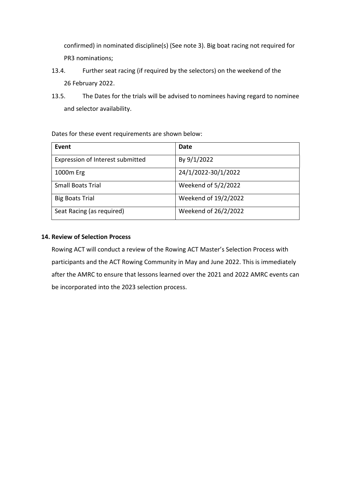confirmed) in nominated discipline(s) (See note 3). Big boat racing not required for PR3 nominations;

- 13.4. Further seat racing (if required by the selectors) on the weekend of the 26 February 2022.
- 13.5. The Dates for the trials will be advised to nominees having regard to nominee and selector availability.

Dates for these event requirements are shown below:

| Event                            | Date                 |
|----------------------------------|----------------------|
| Expression of Interest submitted | By 9/1/2022          |
| 1000m Erg                        | 24/1/2022-30/1/2022  |
| <b>Small Boats Trial</b>         | Weekend of 5/2/2022  |
| <b>Big Boats Trial</b>           | Weekend of 19/2/2022 |
| Seat Racing (as required)        | Weekend of 26/2/2022 |

# **14. Review of Selection Process**

Rowing ACT will conduct a review of the Rowing ACT Master's Selection Process with participants and the ACT Rowing Community in May and June 2022. This is immediately after the AMRC to ensure that lessons learned over the 2021 and 2022 AMRC events can be incorporated into the 2023 selection process.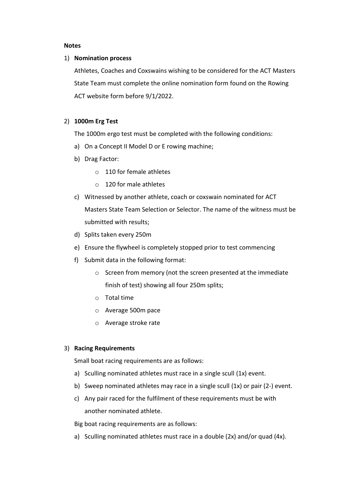#### **Notes**

#### 1) **Nomination process**

Athletes, Coaches and Coxswains wishing to be considered for the ACT Masters State Team must complete the online nomination form found on the Rowing ACT website form before 9/1/2022.

# 2) **1000m Erg Test**

The 1000m ergo test must be completed with the following conditions:

- a) On a Concept II Model D or E rowing machine;
- b) Drag Factor:
	- o 110 for female athletes
	- o 120 for male athletes
- c) Witnessed by another athlete, coach or coxswain nominated for ACT Masters State Team Selection or Selector. The name of the witness must be submitted with results;
- d) Splits taken every 250m
- e) Ensure the flywheel is completely stopped prior to test commencing
- f) Submit data in the following format:
	- o Screen from memory (not the screen presented at the immediate finish of test) showing all four 250m splits;
	- o Total time
	- o Average 500m pace
	- o Average stroke rate

## 3) **Racing Requirements**

Small boat racing requirements are as follows:

- a) Sculling nominated athletes must race in a single scull (1x) event.
- b) Sweep nominated athletes may race in a single scull (1x) or pair (2-) event.
- c) Any pair raced for the fulfilment of these requirements must be with another nominated athlete.

Big boat racing requirements are as follows:

a) Sculling nominated athletes must race in a double (2x) and/or quad (4x).